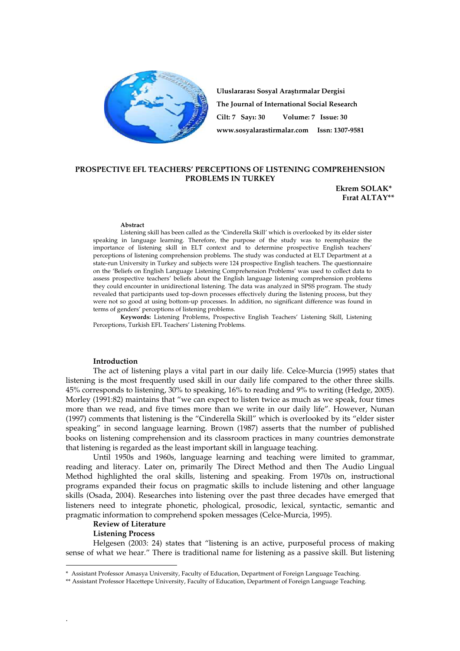

**Uluslararası Sosyal Ara**ş**tırmalar Dergisi The Journal of International Social Research Cilt: 7 Sayı: 30 Volume: 7 Issue: 30 www.sosyalarastirmalar.com Issn: 1307-9581**

# **PROSPECTIVE EFL TEACHERS' PERCEPTIONS OF LISTENING COMPREHENSION PROBLEMS IN TURKEY**

 **Ekrem SOLAK\***•  **Fırat ALTAY\*\*** 

#### **Abstract**

Listening skill has been called as the 'Cinderella Skill' which is overlooked by its elder sister speaking in language learning. Therefore, the purpose of the study was to reemphasize the importance of listening skill in ELT context and to determine prospective English teachers' perceptions of listening comprehension problems. The study was conducted at ELT Department at a state-run University in Turkey and subjects were 124 prospective English teachers. The questionnaire on the 'Beliefs on English Language Listening Comprehension Problems' was used to collect data to assess prospective teachers' beliefs about the English language listening comprehension problems they could encounter in unidirectional listening. The data was analyzed in SPSS program. The study revealed that participants used top-down processes effectively during the listening process, but they were not so good at using bottom-up processes. In addition, no significant difference was found in terms of genders' perceptions of listening problems.

**Keywords:** Listening Problems, Prospective English Teachers' Listening Skill, Listening Perceptions, Turkish EFL Teachers' Listening Problems.

### **Introduction**

The act of listening plays a vital part in our daily life. Celce-Murcia (1995) states that listening is the most frequently used skill in our daily life compared to the other three skills. 45% corresponds to listening, 30% to speaking, 16% to reading and 9% to writing (Hedge, 2005). Morley (1991:82) maintains that "we can expect to listen twice as much as we speak, four times more than we read, and five times more than we write in our daily life". However, Nunan (1997) comments that listening is the "Cinderella Skill" which is overlooked by its "elder sister speaking" in second language learning. Brown (1987) asserts that the number of published books on listening comprehension and its classroom practices in many countries demonstrate that listening is regarded as the least important skill in language teaching.

Until 1950s and 1960s, language learning and teaching were limited to grammar, reading and literacy. Later on, primarily The Direct Method and then The Audio Lingual Method highlighted the oral skills, listening and speaking. From 1970s on, instructional programs expanded their focus on pragmatic skills to include listening and other language skills (Osada, 2004). Researches into listening over the past three decades have emerged that listeners need to integrate phonetic, phological, prosodic, lexical, syntactic, semantic and pragmatic information to comprehend spoken messages (Celce-Murcia, 1995).

#### **Review of Literature**

#### **Listening Process**

.

 $\overline{a}$ 

Helgesen (2003: 24) states that "listening is an active, purposeful process of making sense of what we hear." There is traditional name for listening as a passive skill. But listening

<sup>\*</sup> • Assistant Professor Amasya University, Faculty of Education, Department of Foreign Language Teaching.

<sup>\*\*</sup> Assistant Professor Hacettepe University, Faculty of Education, Department of Foreign Language Teaching.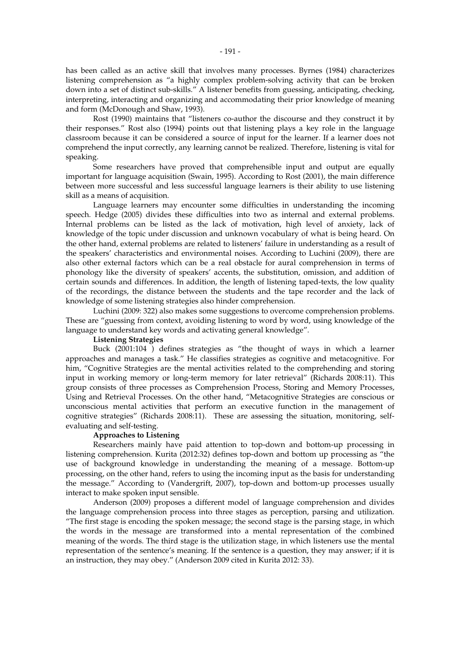has been called as an active skill that involves many processes. Byrnes (1984) characterizes listening comprehension as "a highly complex problem-solving activity that can be broken down into a set of distinct sub-skills." A listener benefits from guessing, anticipating, checking, interpreting, interacting and organizing and accommodating their prior knowledge of meaning and form (McDonough and Shaw, 1993).

Rost (1990) maintains that "listeners co-author the discourse and they construct it by their responses." Rost also (1994) points out that listening plays a key role in the language classroom because it can be considered a source of input for the learner. If a learner does not comprehend the input correctly, any learning cannot be realized. Therefore, listening is vital for speaking.

Some researchers have proved that comprehensible input and output are equally important for language acquisition (Swain, 1995). According to Rost (2001), the main difference between more successful and less successful language learners is their ability to use listening skill as a means of acquisition.

Language learners may encounter some difficulties in understanding the incoming speech. Hedge (2005) divides these difficulties into two as internal and external problems. Internal problems can be listed as the lack of motivation, high level of anxiety, lack of knowledge of the topic under discussion and unknown vocabulary of what is being heard. On the other hand, external problems are related to listeners' failure in understanding as a result of the speakers' characteristics and environmental noises. According to Luchini (2009), there are also other external factors which can be a real obstacle for aural comprehension in terms of phonology like the diversity of speakers' accents, the substitution, omission, and addition of certain sounds and differences. In addition, the length of listening taped-texts, the low quality of the recordings, the distance between the students and the tape recorder and the lack of knowledge of some listening strategies also hinder comprehension.

Luchini (2009: 322) also makes some suggestions to overcome comprehension problems. These are "guessing from context, avoiding listening to word by word, using knowledge of the language to understand key words and activating general knowledge".

# **Listening Strategies**

Buck (2001:104 ) defines strategies as "the thought of ways in which a learner approaches and manages a task." He classifies strategies as cognitive and metacognitive. For him, "Cognitive Strategies are the mental activities related to the comprehending and storing input in working memory or long-term memory for later retrieval" (Richards 2008:11). This group consists of three processes as Comprehension Process, Storing and Memory Processes, Using and Retrieval Processes. On the other hand, "Metacognitive Strategies are conscious or unconscious mental activities that perform an executive function in the management of cognitive strategies" (Richards 2008:11). These are assessing the situation, monitoring, selfevaluating and self-testing.

# **Approaches to Listening**

Researchers mainly have paid attention to top-down and bottom-up processing in listening comprehension. Kurita (2012:32) defines top-down and bottom up processing as "the use of background knowledge in understanding the meaning of a message. Bottom-up processing, on the other hand, refers to using the incoming input as the basis for understanding the message." According to (Vandergrift, 2007), top-down and bottom-up processes usually interact to make spoken input sensible.

Anderson (2009) proposes a different model of language comprehension and divides the language comprehension process into three stages as perception, parsing and utilization. "The first stage is encoding the spoken message; the second stage is the parsing stage, in which the words in the message are transformed into a mental representation of the combined meaning of the words. The third stage is the utilization stage, in which listeners use the mental representation of the sentence's meaning. If the sentence is a question, they may answer; if it is an instruction, they may obey." (Anderson 2009 cited in Kurita 2012: 33).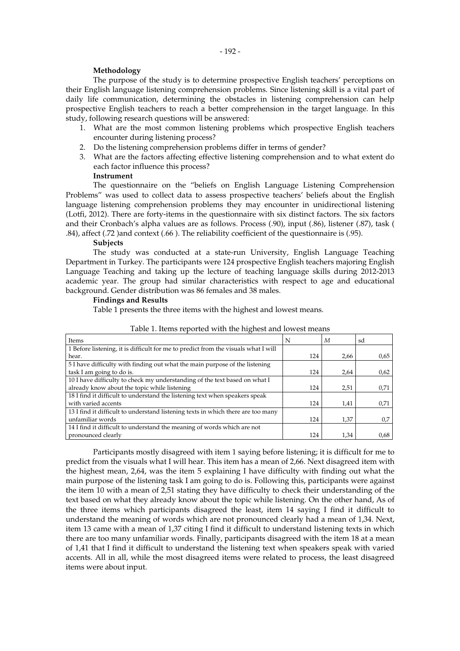## **Methodology**

The purpose of the study is to determine prospective English teachers' perceptions on their English language listening comprehension problems. Since listening skill is a vital part of daily life communication, determining the obstacles in listening comprehension can help prospective English teachers to reach a better comprehension in the target language. In this study, following research questions will be answered:

- 1. What are the most common listening problems which prospective English teachers encounter during listening process?
- 2. Do the listening comprehension problems differ in terms of gender?
- 3. What are the factors affecting effective listening comprehension and to what extent do each factor influence this process?

# **Instrument**

The questionnaire on the "beliefs on English Language Listening Comprehension Problems" was used to collect data to assess prospective teachers' beliefs about the English language listening comprehension problems they may encounter in unidirectional listening (Lotfi, 2012). There are forty-items in the questionnaire with six distinct factors. The six factors and their Cronbach's alpha values are as follows. Process (.90), input (.86), listener (.87), task ( .84), affect (.72 )and context (.66 ). The reliability coefficient of the questionnaire is (.95).

#### **Subjects**

The study was conducted at a state-run University, English Language Teaching Department in Turkey. The participants were 124 prospective English teachers majoring English Language Teaching and taking up the lecture of teaching language skills during 2012-2013 academic year. The group had similar characteristics with respect to age and educational background. Gender distribution was 86 females and 38 males.

## **Findings and Results**

Table 1 presents the three items with the highest and lowest means.

| Items                                                                              | N   | М    | sd   |
|------------------------------------------------------------------------------------|-----|------|------|
| 1 Before listening, it is difficult for me to predict from the visuals what I will |     |      |      |
| hear.                                                                              | 124 | 2,66 | 0.65 |
| 5 I have difficulty with finding out what the main purpose of the listening        |     |      |      |
| task I am going to do is.                                                          | 124 | 2,64 | 0.62 |
| 10 I have difficulty to check my understanding of the text based on what I         |     |      |      |
| already know about the topic while listening                                       | 124 | 2,51 | 0,71 |
| 18 I find it difficult to understand the listening text when speakers speak        |     |      |      |
| with varied accents                                                                | 124 | 1,41 | 0,71 |
| 13 I find it difficult to understand listening texts in which there are too many   |     |      |      |
| unfamiliar words                                                                   | 124 | 1,37 | 0,7  |
| 14 I find it difficult to understand the meaning of words which are not            |     |      |      |
| pronounced clearly                                                                 | 124 | 1,34 | 0,68 |

Table 1. Items reported with the highest and lowest means

Participants mostly disagreed with item 1 saying before listening; it is difficult for me to predict from the visuals what I will hear. This item has a mean of 2,66. Next disagreed item with the highest mean, 2,64, was the item 5 explaining I have difficulty with finding out what the main purpose of the listening task I am going to do is. Following this, participants were against the item 10 with a mean of 2,51 stating they have difficulty to check their understanding of the text based on what they already know about the topic while listening. On the other hand, As of the three items which participants disagreed the least, item 14 saying I find it difficult to understand the meaning of words which are not pronounced clearly had a mean of 1,34. Next, item 13 came with a mean of 1,37 citing I find it difficult to understand listening texts in which there are too many unfamiliar words. Finally, participants disagreed with the item 18 at a mean of 1,41 that I find it difficult to understand the listening text when speakers speak with varied accents. All in all, while the most disagreed items were related to process, the least disagreed items were about input.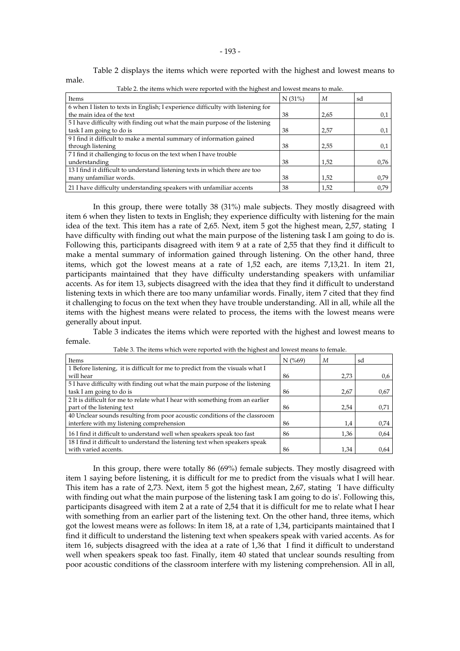Table 2 displays the items which were reported with the highest and lowest means to

| Items                                                                           | N(31%) | M    | sd   |
|---------------------------------------------------------------------------------|--------|------|------|
| 6 when I listen to texts in English; I experience difficulty with listening for |        |      |      |
| the main idea of the text                                                       | 38     | 2,65 | 0,1  |
| 5 I have difficulty with finding out what the main purpose of the listening     |        |      |      |
| task I am going to do is                                                        | 38     | 2,57 | 0.1  |
| 9 I find it difficult to make a mental summary of information gained            |        |      |      |
| through listening                                                               | 38     | 2,55 | 0,1  |
| 7 I find it challenging to focus on the text when I have trouble                |        |      |      |
| understanding                                                                   | 38     | 1,52 | 0,76 |
| 13 I find it difficult to understand listening texts in which there are too     |        |      |      |
| many unfamiliar words.                                                          | 38     | 1,52 | 0,79 |
| 21 I have difficulty understanding speakers with unfamiliar accents             | 38     | 1,52 | 0,79 |

Table 2. the items which were reported with the highest and lowest means to male.

male.

In this group, there were totally 38 (31%) male subjects. They mostly disagreed with item 6 when they listen to texts in English; they experience difficulty with listening for the main idea of the text. This item has a rate of 2,65. Next, item 5 got the highest mean, 2,57, stating I have difficulty with finding out what the main purpose of the listening task I am going to do is. Following this, participants disagreed with item 9 at a rate of 2,55 that they find it difficult to make a mental summary of information gained through listening. On the other hand, three items, which got the lowest means at a rate of 1,52 each, are items 7,13,21. In item 21, participants maintained that they have difficulty understanding speakers with unfamiliar accents. As for item 13, subjects disagreed with the idea that they find it difficult to understand listening texts in which there are too many unfamiliar words. Finally, item 7 cited that they find it challenging to focus on the text when they have trouble understanding. All in all, while all the items with the highest means were related to process, the items with the lowest means were generally about input.

Table 3 indicates the items which were reported with the highest and lowest means to female.

| Items                                                                         | $N$ (%69) | М    | sd   |
|-------------------------------------------------------------------------------|-----------|------|------|
| 1 Before listening, it is difficult for me to predict from the visuals what I |           |      |      |
| will hear                                                                     | 86        | 2.73 | 0.6  |
| 5 I have difficulty with finding out what the main purpose of the listening   |           |      |      |
| task I am going to do is                                                      | 86        | 2,67 | 0.67 |
| 2 It is difficult for me to relate what I hear with something from an earlier |           |      |      |
| part of the listening text                                                    | 86        | 2,54 | 0,71 |
| 40 Unclear sounds resulting from poor acoustic conditions of the classroom    |           |      |      |
| interfere with my listening comprehension                                     | 86        | 1,4  | 0.74 |
| 16 I find it difficult to understand well when speakers speak too fast        | 86        | 1,36 | 0.64 |
| 18 I find it difficult to understand the listening text when speakers speak   |           |      |      |
| with varied accents.                                                          | 86        | 1,34 | 0.64 |

Table 3. The items which were reported with the highest and lowest means to female.

In this group, there were totally 86 (69%) female subjects. They mostly disagreed with item 1 saying before listening, it is difficult for me to predict from the visuals what I will hear. This item has a rate of 2,73. Next, item 5 got the highest mean, 2,67, stating 'I have difficulty with finding out what the main purpose of the listening task I am going to do is'. Following this, participants disagreed with item 2 at a rate of 2,54 that it is difficult for me to relate what I hear with something from an earlier part of the listening text. On the other hand, three items, which got the lowest means were as follows: In item 18, at a rate of 1,34, participants maintained that I find it difficult to understand the listening text when speakers speak with varied accents. As for item 16, subjects disagreed with the idea at a rate of  $1,36$  that I find it difficult to understand well when speakers speak too fast. Finally, item 40 stated that unclear sounds resulting from poor acoustic conditions of the classroom interfere with my listening comprehension. All in all,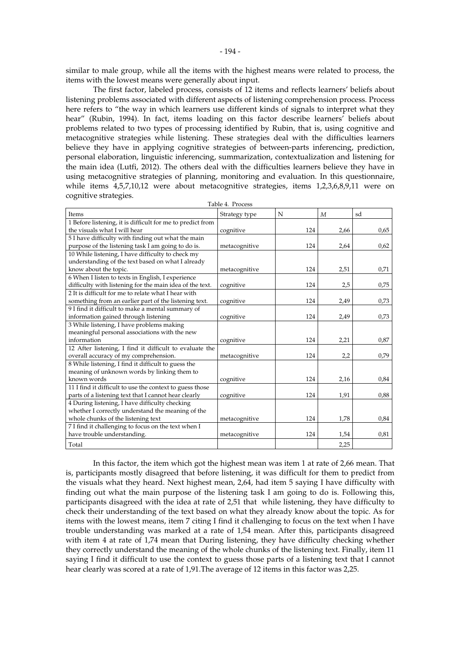similar to male group, while all the items with the highest means were related to process, the items with the lowest means were generally about input.

The first factor, labeled process, consists of 12 items and reflects learners' beliefs about listening problems associated with different aspects of listening comprehension process. Process here refers to "the way in which learners use different kinds of signals to interpret what they hear" (Rubin, 1994). In fact, items loading on this factor describe learners' beliefs about problems related to two types of processing identified by Rubin, that is, using cognitive and metacognitive strategies while listening. These strategies deal with the difficulties learners believe they have in applying cognitive strategies of between-parts inferencing, prediction, personal elaboration, linguistic inferencing, summarization, contextualization and listening for the main idea (Lutfi, 2012). The others deal with the difficulties learners believe they have in using metacognitive strategies of planning, monitoring and evaluation. In this questionnaire, while items 4,5,7,10,12 were about metacognitive strategies, items 1,2,3,6,8,9,11 were on cognitive strategies. Table 4. Process

| 1 avie 4. 1 1 ocess                                        |               |     |                  |      |
|------------------------------------------------------------|---------------|-----|------------------|------|
| Items                                                      | Strategy type | N   | $\boldsymbol{M}$ | sd   |
| 1 Before listening, it is difficult for me to predict from |               |     |                  |      |
| the visuals what I will hear                               | cognitive     | 124 | 2,66             | 0,65 |
| 5 I have difficulty with finding out what the main         |               |     |                  |      |
| purpose of the listening task I am going to do is.         | metacognitive | 124 | 2,64             | 0,62 |
| 10 While listening, I have difficulty to check my          |               |     |                  |      |
| understanding of the text based on what I already          |               |     |                  |      |
| know about the topic.                                      | metacognitive | 124 | 2,51             | 0,71 |
| 6 When I listen to texts in English, I experience          |               |     |                  |      |
| difficulty with listening for the main idea of the text.   | cognitive     | 124 | 2,5              | 0,75 |
| 2 It is difficult for me to relate what I hear with        |               |     |                  |      |
| something from an earlier part of the listening text.      | cognitive     | 124 | 2,49             | 0,73 |
| 9 I find it difficult to make a mental summary of          |               |     |                  |      |
| information gained through listening                       | cognitive     | 124 | 2,49             | 0,73 |
| 3 While listening, I have problems making                  |               |     |                  |      |
| meaningful personal associations with the new              |               |     |                  |      |
| information                                                | cognitive     | 124 | 2,21             | 0,87 |
| 12 After listening, I find it difficult to evaluate the    |               |     |                  |      |
| overall accuracy of my comprehension.                      | metacognitive | 124 | 2,2              | 0,79 |
| 8 While listening, I find it difficult to guess the        |               |     |                  |      |
| meaning of unknown words by linking them to                |               |     |                  |      |
| known words                                                | cognitive     | 124 | 2,16             | 0,84 |
| 11 I find it difficult to use the context to guess those   |               |     |                  |      |
| parts of a listening text that I cannot hear clearly       | cognitive     | 124 | 1,91             | 0,88 |
| 4 During listening, I have difficulty checking             |               |     |                  |      |
| whether I correctly understand the meaning of the          |               |     |                  |      |
| whole chunks of the listening text                         | metacognitive | 124 | 1,78             | 0,84 |
| 7 I find it challenging to focus on the text when I        |               |     |                  |      |
| have trouble understanding.                                | metacognitive | 124 | 1,54             | 0,81 |
| Total                                                      |               |     | 2,25             |      |

In this factor, the item which got the highest mean was item 1 at rate of 2,66 mean. That is, participants mostly disagreed that before listening, it was difficult for them to predict from the visuals what they heard. Next highest mean, 2,64, had item 5 saying I have difficulty with finding out what the main purpose of the listening task I am going to do is. Following this, participants disagreed with the idea at rate of 2,51 that while listening, they have difficulty to check their understanding of the text based on what they already know about the topic. As for items with the lowest means, item 7 citing I find it challenging to focus on the text when I have trouble understanding was marked at a rate of 1,54 mean. After this, participants disagreed with item 4 at rate of 1,74 mean that During listening, they have difficulty checking whether they correctly understand the meaning of the whole chunks of the listening text. Finally, item 11 saying I find it difficult to use the context to guess those parts of a listening text that I cannot hear clearly was scored at a rate of 1,91.The average of 12 items in this factor was 2,25.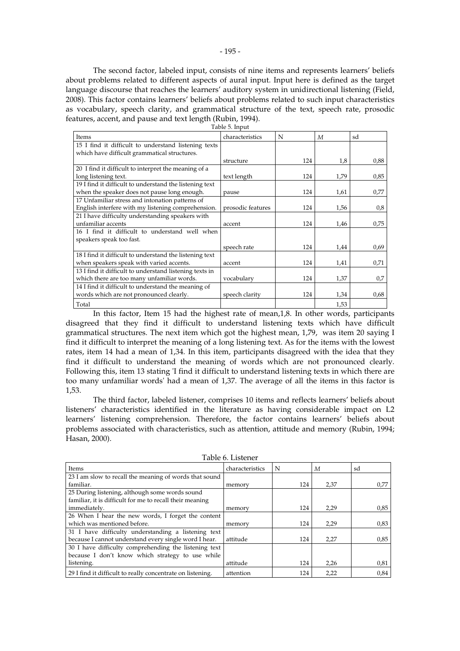The second factor, labeled input, consists of nine items and represents learners' beliefs about problems related to different aspects of aural input. Input here is defined as the target language discourse that reaches the learners' auditory system in unidirectional listening (Field, 2008). This factor contains learners' beliefs about problems related to such input characteristics as vocabulary, speech clarity, and grammatical structure of the text, speech rate, prosodic features, accent, and pause and text length (Rubin, 1994).

| Items                                                   | characteristics   | N   | M    | sd   |
|---------------------------------------------------------|-------------------|-----|------|------|
| 15 I find it difficult to understand listening texts    |                   |     |      |      |
| which have difficult grammatical structures.            |                   |     |      |      |
|                                                         | structure         | 124 | 1,8  | 0,88 |
| 20 I find it difficult to interpret the meaning of a    |                   |     |      |      |
| long listening text.                                    | text length       | 124 | 1,79 | 0,85 |
| 19 I find it difficult to understand the listening text |                   |     |      |      |
| when the speaker does not pause long enough.            | pause             | 124 | 1,61 | 0,77 |
| 17 Unfamiliar stress and intonation patterns of         |                   |     |      |      |
| English interfere with my listening comprehension.      | prosodic features | 124 | 1,56 | 0,8  |
| 21 I have difficulty understanding speakers with        |                   |     |      |      |
| unfamiliar accents                                      | accent            | 124 | 1,46 | 0,75 |
| 16 I find it difficult to understand well when          |                   |     |      |      |
| speakers speak too fast.                                |                   |     |      |      |
|                                                         | speech rate       | 124 | 1,44 | 0,69 |
| 18 I find it difficult to understand the listening text |                   |     |      |      |
| when speakers speak with varied accents.                | accent            | 124 | 1,41 | 0,71 |
| 13 I find it difficult to understand listening texts in |                   |     |      |      |
| which there are too many unfamiliar words.              | vocabulary        | 124 | 1,37 | 0.7  |
| 14 I find it difficult to understand the meaning of     |                   |     |      |      |
| words which are not pronounced clearly.                 | speech clarity    | 124 | 1,34 | 0.68 |
| Total                                                   |                   |     | 1,53 |      |

Table 5. Input

In this factor, Item 15 had the highest rate of mean,1,8. In other words, participants disagreed that they find it difficult to understand listening texts which have difficult grammatical structures. The next item which got the highest mean, 1,79, was item 20 saying I find it difficult to interpret the meaning of a long listening text. As for the items with the lowest rates, item 14 had a mean of 1,34. In this item, participants disagreed with the idea that they find it difficult to understand the meaning of words which are not pronounced clearly. Following this, item 13 stating 'I find it difficult to understand listening texts in which there are too many unfamiliar words' had a mean of 1,37. The average of all the items in this factor is 1,53.

The third factor, labeled listener, comprises 10 items and reflects learners' beliefs about listeners' characteristics identified in the literature as having considerable impact on L2 learners' listening comprehension. Therefore, the factor contains learners' beliefs about problems associated with characteristics, such as attention, attitude and memory (Rubin, 1994; Hasan, 2000).

| Items                                                      | characteristics | N   | M    | sd   |
|------------------------------------------------------------|-----------------|-----|------|------|
| 23 I am slow to recall the meaning of words that sound     |                 |     |      |      |
| familiar.                                                  | memory          | 124 | 2,37 | 0,77 |
| 25 During listening, although some words sound             |                 |     |      |      |
| familiar, it is difficult for me to recall their meaning   |                 |     |      |      |
| immediately.                                               | memory          | 124 | 2,29 | 0,85 |
| 26 When I hear the new words, I forget the content         |                 |     |      |      |
| which was mentioned before.                                | memory          | 124 | 2,29 | 0,83 |
| 31 I have difficulty understanding a listening text        |                 |     |      |      |
| because I cannot understand every single word I hear.      | attitude        | 124 | 2,27 | 0,85 |
| 30 I have difficulty comprehending the listening text      |                 |     |      |      |
| because I don't know which strategy to use while           |                 |     |      |      |
| listening.                                                 | attitude        | 124 | 2,26 | 0.81 |
| 29 I find it difficult to really concentrate on listening. | attention       | 124 | 2,22 | 0,84 |

Table 6. Listener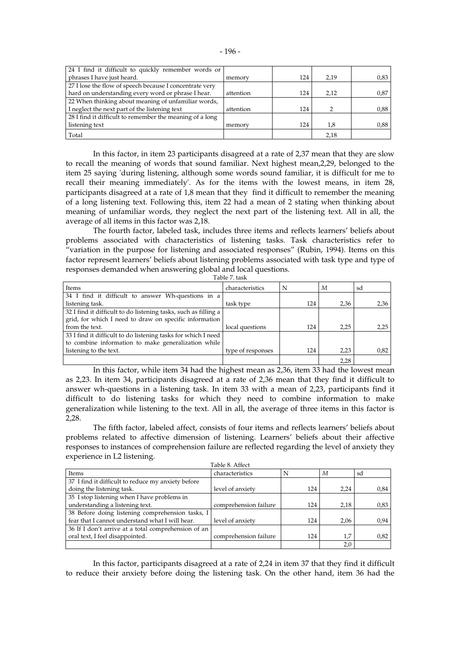| 24 I find it difficult to quickly remember words or      |           |     |      |      |
|----------------------------------------------------------|-----------|-----|------|------|
| phrases I have just heard.                               | memory    | 124 | 2,19 | 0,83 |
| 27 I lose the flow of speech because I concentrate very  |           |     |      |      |
| hard on understanding every word or phrase I hear.       | attention | 124 | 2.12 | 0.87 |
| 22 When thinking about meaning of unfamiliar words,      |           |     |      |      |
| I neglect the next part of the listening text            | attention | 124 |      | 0,88 |
| 28 I find it difficult to remember the meaning of a long |           |     |      |      |
| listening text                                           | memory    | 124 | 1,8  | 0,88 |
| Total                                                    |           |     | 2.18 |      |

In this factor, in item 23 participants disagreed at a rate of 2,37 mean that they are slow to recall the meaning of words that sound familiar. Next highest mean,2,29, belonged to the item 25 saying 'during listening, although some words sound familiar, it is difficult for me to recall their meaning immediately'. As for the items with the lowest means, in item 28, participants disagreed at a rate of 1,8 mean that they find it difficult to remember the meaning of a long listening text. Following this, item 22 had a mean of 2 stating when thinking about meaning of unfamiliar words, they neglect the next part of the listening text. All in all, the average of all items in this factor was 2,18.

The fourth factor, labeled task, includes three items and reflects learners' beliefs about problems associated with characteristics of listening tasks. Task characteristics refer to "variation in the purpose for listening and associated responses" (Rubin, 1994). Items on this factor represent learners' beliefs about listening problems associated with task type and type of responses demanded when answering global and local questions. Table 7. task

| TAVIC 7. RIJN     |     |      |      |
|-------------------|-----|------|------|
| characteristics   | N   | М    | sd   |
|                   |     |      |      |
| task type         | 124 | 2,36 | 2,36 |
|                   |     |      |      |
|                   |     |      |      |
| local questions   | 124 | 2.25 | 2,25 |
|                   |     |      |      |
|                   |     |      |      |
| type of responses | 124 | 2,23 | 0,82 |
|                   |     | 2,28 |      |
|                   |     |      |      |

In this factor, while item 34 had the highest mean as 2,36, item 33 had the lowest mean as 2,23. In item 34, participants disagreed at a rate of 2,36 mean that they find it difficult to answer wh-questions in a listening task. In item 33 with a mean of 2,23, participants find it difficult to do listening tasks for which they need to combine information to make generalization while listening to the text. All in all, the average of three items in this factor is 2,28.

The fifth factor, labeled affect, consists of four items and reflects learners' beliefs about problems related to affective dimension of listening. Learners' beliefs about their affective responses to instances of comprehension failure are reflected regarding the level of anxiety they experience in L2 listening. Table 8. Affect

|                                                     | Tavic 0. Aliect       |     |      |      |
|-----------------------------------------------------|-----------------------|-----|------|------|
| Items                                               | characteristics       | N   | М    | sd   |
| 37 I find it difficult to reduce my anxiety before  |                       |     |      |      |
| doing the listening task.                           | level of anxiety      | 124 | 2.24 | 0,84 |
| 35 I stop listening when I have problems in         |                       |     |      |      |
| understanding a listening text.                     | comprehension failure | 124 | 2,18 | 0.83 |
| 38 Before doing listening comprehension tasks, I    |                       |     |      |      |
| fear that I cannot understand what I will hear.     | level of anxiety      | 124 | 2.06 | 0,94 |
| 36 If I don't arrive at a total comprehension of an |                       |     |      |      |
| oral text, I feel disappointed.                     | comprehension failure | 124 | 1,7  | 0,82 |
|                                                     |                       |     | 2,0  |      |

In this factor, participants disagreed at a rate of 2,24 in item 37 that they find it difficult to reduce their anxiety before doing the listening task. On the other hand, item 36 had the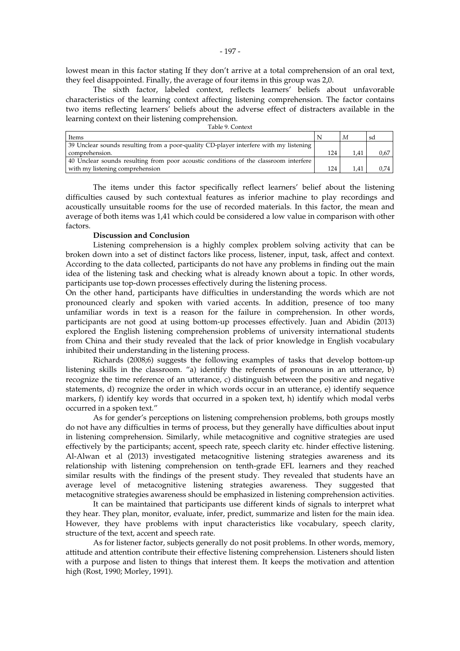lowest mean in this factor stating If they don't arrive at a total comprehension of an oral text, they feel disappointed. Finally, the average of four items in this group was 2,0.

The sixth factor, labeled context, reflects learners' beliefs about unfavorable characteristics of the learning context affecting listening comprehension. The factor contains two items reflecting learners' beliefs about the adverse effect of distracters available in the learning context on their listening comprehension.

| Items                                                                                 |     | M    | sd   |
|---------------------------------------------------------------------------------------|-----|------|------|
| 39 Unclear sounds resulting from a poor-quality CD-player interfere with my listening |     |      |      |
| comprehension.                                                                        | 124 | 1.41 | 0.67 |
| 40 Unclear sounds resulting from poor acoustic conditions of the classroom interfere  |     |      |      |
| with my listening comprehension                                                       | 124 |      | 0.74 |

The items under this factor specifically reflect learners' belief about the listening difficulties caused by such contextual features as inferior machine to play recordings and acoustically unsuitable rooms for the use of recorded materials. In this factor, the mean and average of both items was 1,41 which could be considered a low value in comparison with other factors.

## **Discussion and Conclusion**

Listening comprehension is a highly complex problem solving activity that can be broken down into a set of distinct factors like process, listener, input, task, affect and context. According to the data collected, participants do not have any problems in finding out the main idea of the listening task and checking what is already known about a topic. In other words, participants use top-down processes effectively during the listening process.

On the other hand, participants have difficulties in understanding the words which are not pronounced clearly and spoken with varied accents. In addition, presence of too many unfamiliar words in text is a reason for the failure in comprehension. In other words, participants are not good at using bottom-up processes effectively. Juan and Abidin (2013) explored the English listening comprehension problems of university international students from China and their study revealed that the lack of prior knowledge in English vocabulary inhibited their understanding in the listening process.

Richards (2008;6) suggests the following examples of tasks that develop bottom-up listening skills in the classroom. "a) identify the referents of pronouns in an utterance, b) recognize the time reference of an utterance, c) distinguish between the positive and negative statements, d) recognize the order in which words occur in an utterance, e) identify sequence markers, f) identify key words that occurred in a spoken text, h) identify which modal verbs occurred in a spoken text."

As for gender's perceptions on listening comprehension problems, both groups mostly do not have any difficulties in terms of process, but they generally have difficulties about input in listening comprehension. Similarly, while metacognitive and cognitive strategies are used effectively by the participants; accent, speech rate, speech clarity etc. hinder effective listening. Al-Alwan et al (2013) investigated metacognitive listening strategies awareness and its relationship with listening comprehension on tenth-grade EFL learners and they reached similar results with the findings of the present study. They revealed that students have an average level of metacognitive listening strategies awareness. They suggested that metacognitive strategies awareness should be emphasized in listening comprehension activities.

It can be maintained that participants use different kinds of signals to interpret what they hear. They plan, monitor, evaluate, infer, predict, summarize and listen for the main idea. However, they have problems with input characteristics like vocabulary, speech clarity, structure of the text, accent and speech rate.

As for listener factor, subjects generally do not posit problems. In other words, memory, attitude and attention contribute their effective listening comprehension. Listeners should listen with a purpose and listen to things that interest them. It keeps the motivation and attention high (Rost, 1990; Morley, 1991).